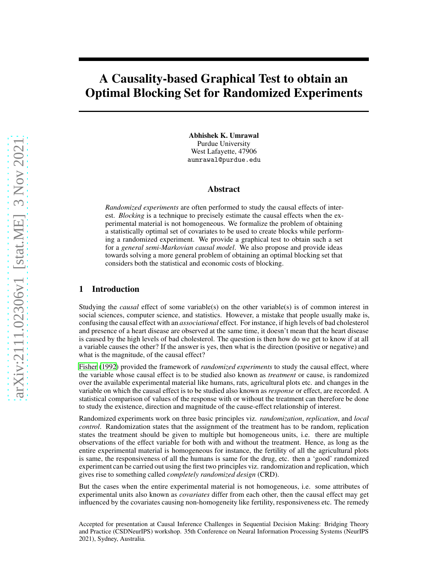# A Causality-based Graphical Test to obtain an Optimal Blocking Set for Randomized Experiments

Abhishek K. Umrawal Purdue University West Lafayette, 47906 aumrawal@purdue.edu

## Abstract

*Randomized experiments* are often performed to study the causal effects of interest. *Blocking* is a technique to precisely estimate the causal effects when the experimental material is not homogeneous. We formalize the problem of obtaining a statistically optimal set of covariates to be used to create blocks while performing a randomized experiment. We provide a graphical test to obtain such a set for a *general semi-Markovian causal model*. We also propose and provide ideas towards solving a more general problem of obtaining an optimal blocking set that considers both the statistical and economic costs of blocking.

# 1 Introduction

Studying the *causal* effect of some variable(s) on the other variable(s) is of common interest in social sciences, computer science, and statistics. However, a mistake that people usually make is, confusing the causal effect with an *associational* effect. For instance, if high levels of bad cholesterol and presence of a heart disease are observed at the same time, it doesn't mean that the heart disease is caused by the high levels of bad cholesterol. The question is then how do we get to know if at all a variable causes the other? If the answer is yes, then what is the direction (positive or negative) and what is the magnitude, of the causal effect?

[Fisher \(1992\)](#page-7-0) provided the framework of *randomized experiments* to study the causal effect, where the variable whose causal effect is to be studied also known as *treatment* or cause, is randomized over the available experimental material like humans, rats, agricultural plots etc. and changes in the variable on which the causal effect is to be studied also known as *response* or effect, are recorded. A statistical comparison of values of the response with or without the treatment can therefore be done to study the existence, direction and magnitude of the cause-effect relationship of interest.

Randomized experiments work on three basic principles viz. *randomization*, *replication*, and *local control*. Randomization states that the assignment of the treatment has to be random, replication states the treatment should be given to multiple but homogeneous units, i.e. there are multiple observations of the effect variable for both with and without the treatment. Hence, as long as the entire experimental material is homogeneous for instance, the fertility of all the agricultural plots is same, the responsiveness of all the humans is same for the drug, etc. then a 'good' randomized experiment can be carried out using the first two principles viz. randomization and replication, which gives rise to something called *completely randomized design* (CRD).

But the cases when the entire experimental material is not homogeneous, i.e. some attributes of experimental units also known as *covariates* differ from each other, then the causal effect may get influenced by the covariates causing non-homogeneity like fertility, responsiveness etc. The remedy

Accepted for presentation at Causal Inference Challenges in Sequential Decision Making: Bridging Theory and Practice (CSDNeurIPS) workshop. 35th Conference on Neural Information Processing Systems (NeurIPS 2021), Sydney, Australia.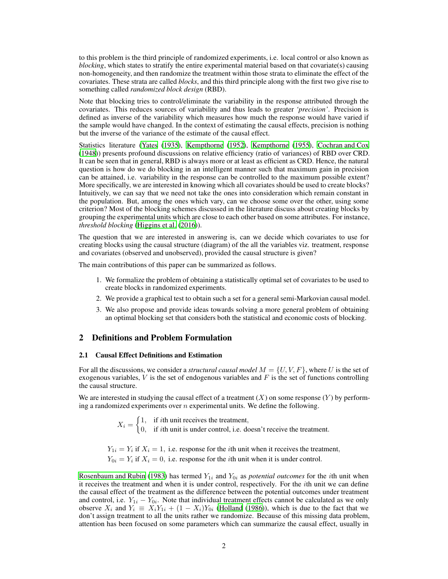to this problem is the third principle of randomized experiments, i.e. local control or also known as *blocking*, which states to stratify the entire experimental material based on that covariate(s) causing non-homogeneity, and then randomize the treatment within those strata to eliminate the effect of the covariates. These strata are called *blocks*, and this third principle along with the first two give rise to something called *randomized block design* (RBD).

Note that blocking tries to control/eliminate the variability in the response attributed through the covariates. This reduces sources of variability and thus leads to greater *'precision'*. Precision is defined as inverse of the variability which measures how much the response would have varied if the sample would have changed. In the context of estimating the causal effects, precision is nothing but the inverse of the variance of the estimate of the causal effect.

Statistics literature [\(Yates](#page-7-1) [\(1935\)](#page-7-1), [Kempthorne \(1952\)](#page-7-2), [Kempthorne \(1955\)](#page-7-3), [Cochran and Cox](#page-7-4) [\(1948\)](#page-7-4)) presents profound discussions on relative efficiency (ratio of variances) of RBD over CRD. It can be seen that in general, RBD is always more or at least as efficient as CRD. Hence, the natural question is how do we do blocking in an intelligent manner such that maximum gain in precision can be attained, i.e. variability in the response can be controlled to the maximum possible extent? More specifically, we are interested in knowing which all covariates should be used to create blocks? Intuitively, we can say that we need not take the ones into consideration which remain constant in the population. But, among the ones which vary, can we choose some over the other, using some criterion? Most of the blocking schemes discussed in the literature discuss about creating blocks by grouping the experimental units which are close to each other based on some attributes. For instance, *threshold blocking* [\(Higgins et al. \(2016\)](#page-7-5)).

The question that we are interested in answering is, can we decide which covariates to use for creating blocks using the causal structure (diagram) of the all the variables viz. treatment, response and covariates (observed and unobserved), provided the causal structure is given?

The main contributions of this paper can be summarized as follows.

- 1. We formalize the problem of obtaining a statistically optimal set of covariates to be used to create blocks in randomized experiments.
- 2. We provide a graphical test to obtain such a set for a general semi-Markovian causal model.
- 3. We also propose and provide ideas towards solving a more general problem of obtaining an optimal blocking set that considers both the statistical and economic costs of blocking.

## <span id="page-1-0"></span>2 Definitions and Problem Formulation

#### 2.1 Causal Effect Definitions and Estimation

For all the discussions, we consider a *structural causal model*  $M = \{U, V, F\}$ , where U is the set of exogenous variables,  $V$  is the set of endogenous variables and  $F$  is the set of functions controlling the causal structure.

We are interested in studying the causal effect of a treatment  $(X)$  on some response  $(Y)$  by performing a randomized experiments over  $n$  experimental units. We define the following.

> $X_i = \begin{cases} 1, & \text{if } i \text{th unit receives the treatment,} \\ 0, & \text{if } i \text{th unit is under control, i.e.} \end{cases}$ 0, if ith unit is under control, i.e. doesn't receive the treatment.

 $Y_{1i} = Y_i$  if  $X_i = 1$ , i.e. response for the *i*th unit when it receives the treatment,  $Y_{0i} = Y_i$  if  $X_i = 0$ , i.e. response for the *i*th unit when it is under control.

[Rosenbaum and Rubin \(1983](#page-7-6)) has termed  $Y_{1i}$  and  $Y_{0i}$  as *potential outcomes* for the *i*th unit when it receives the treatment and when it is under control, respectively. For the ith unit we can define the causal effect of the treatment as the difference between the potential outcomes under treatment and control, i.e.  $Y_{1i} - Y_{0i}$ . Note that individual treatment effects cannot be calculated as we only observe  $X_i$  and  $Y_i \equiv X_i Y_{1i} + (1 - X_i) Y_{0i}$  [\(Holland](#page-7-7) [\(1986\)](#page-7-7)), which is due to the fact that we don't assign treatment to all the units rather we randomize. Because of this missing data problem, attention has been focused on some parameters which can summarize the causal effect, usually in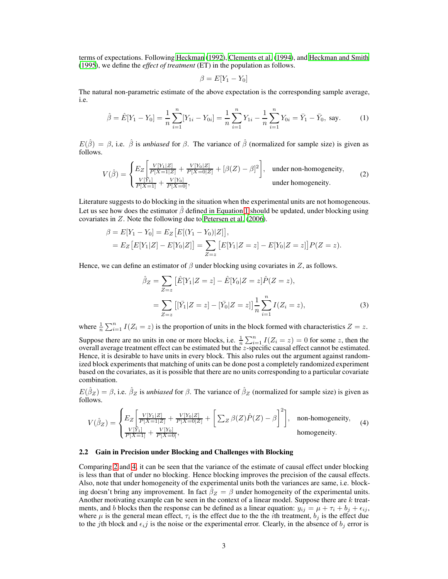terms of expectations. Following [Heckman](#page-7-8) [\(1992\)](#page-7-8), [Clements](#page-7-9) et al. [\(1994\)](#page-7-9), and [Heckman and Smith](#page-7-10) [\(1995\)](#page-7-10), we define the *effect of treatment* (ET) in the population as follows.

$$
\beta = E[Y_1 - Y_0]
$$

The natural non-parametric estimate of the above expectation is the corresponding sample average, i.e.

$$
\hat{\beta} = \hat{E}[Y_1 - Y_0] = \frac{1}{n} \sum_{i=1}^n [Y_{1i} - Y_{0i}] = \frac{1}{n} \sum_{i=1}^n Y_{1i} - \frac{1}{n} \sum_{i=1}^n Y_{0i} = \bar{Y}_1 - \bar{Y}_0, \text{ say.}
$$
 (1)

 $E(\hat{\beta}) = \beta$ , i.e.  $\hat{\beta}$  is *unbiased* for  $\beta$ . The variance of  $\hat{\beta}$  (normalized for sample size) is given as follows.

$$
V(\hat{\beta}) = \begin{cases} E_Z \left[ \frac{V[Y_1|Z]}{P[X=1|Z]} + \frac{V[Y_0|Z]}{P[X=0|Z]} + [\beta(Z) - \beta]^2 \right], & \text{under non-homogeneity,} \\ \frac{V[Y_1]}{P[X=1]} + \frac{V[Y_0]}{P[X=0]}, & \text{under homogeneity.} \end{cases}
$$
(2)

Literature suggests to do blocking in the situation when the experimental units are not homogeneous. Let us see how does the estimator  $\beta$  defined in Equation [1](#page-1-0) should be updated, under blocking using covariates in Z. Note the following due to [Petersen et al. \(2006\)](#page-7-11).

$$
\beta = E[Y_1 - Y_0] = E_Z \big[E[(Y_1 - Y_0)|Z]\big],
$$
  
= 
$$
E_Z \big[E[Y_1|Z] - E[Y_0|Z]\big] = \sum_{Z=z} \big[E[Y_1|Z=z] - E[Y_0|Z=z]\big]P(Z=z).
$$

Hence, we can define an estimator of  $\beta$  under blocking using covariates in Z, as follows.

$$
\hat{\beta}_Z = \sum_{Z=z} \left[ \hat{E}[Y_1|Z=z] - \hat{E}[Y_0|Z=z] \hat{P}(Z=z) \right],
$$
  
= 
$$
\sum_{Z=z} \left[ [\bar{Y}_1|Z=z] - [\bar{Y}_0|Z=z] \right] \frac{1}{n} \sum_{i=1}^n I(Z_i=z),
$$
 (3)

where  $\frac{1}{n} \sum_{i=1}^{n} I(Z_i = z)$  is the proportion of units in the block formed with characteristics  $Z = z$ .

Suppose there are no units in one or more blocks, i.e.  $\frac{1}{n} \sum_{i=1}^{n} I(Z_i = z) = 0$  for some z, then the overall average treatment effect can be estimated but the z-specific causal effect cannot be estimated. Hence, it is desirable to have units in every block. This also rules out the argument against randomized block experiments that matching of units can be done post a completely randomized experiment based on the covariates, as it is possible that there are no units corresponding to a particular covariate combination.

 $E(\hat{\beta}_Z) = \beta$ , i.e.  $\hat{\beta}_Z$  is *unbiased* for  $\beta$ . The variance of  $\hat{\beta}_Z$  (normalized for sample size) is given as follows.

$$
V(\hat{\beta}_Z) = \begin{cases} E_Z \left[ \frac{V[Y_1|Z]}{P[X=1|Z]} + \frac{V[Y_0|Z]}{P[X=0|Z]} + \left[ \sum_Z \beta(Z)\hat{P}(Z) - \beta \right]^2 \right], & \text{non-homogeneity,} \\ \frac{V[Y_1]}{P[X=1]} + \frac{V[Y_0]}{P[X=0]}, & \text{homogeneity.} \end{cases}
$$
(4)

#### <span id="page-2-0"></span>2.2 Gain in Precision under Blocking and Challenges with Blocking

Comparing [2](#page-1-0) and [4,](#page-1-0) it can be seen that the variance of the estimate of causal effect under blocking is less than that of under no blocking. Hence blocking improves the precision of the causal effects. Also, note that under homogeneity of the experimental units both the variances are same, i.e. blocking doesn't bring any improvement. In fact  $\hat{\beta}_Z = \beta$  under homogeneity of the experimental units. Another motivating example can be seen in the context of a linear model. Suppose there are  $k$  treatments, and b blocks then the response can be defined as a linear equation:  $y_{ij} = \mu + \tau_i + b_j + \epsilon_{ij}$ , where  $\mu$  is the general mean effect,  $\tau_i$  is the effect due to the the *i*th treatment,  $b_j$  is the effect due to the jth block and  $\epsilon_{ij}$  is the noise or the experimental error. Clearly, in the absence of  $b_j$  error is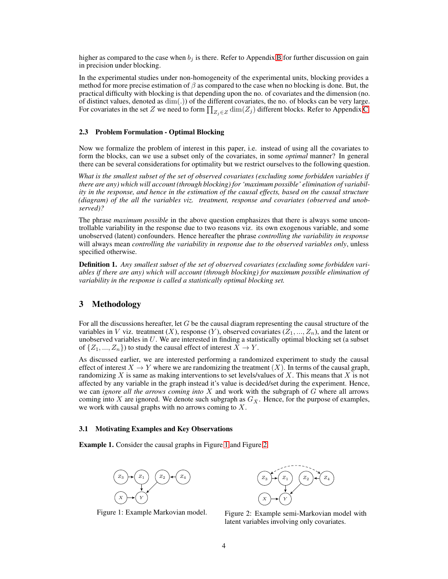higher as compared to the case when  $b_j$  is there. Refer to Appendix [B](#page-10-0) for further discussion on gain in precision under blocking.

In the experimental studies under non-homogeneity of the experimental units, blocking provides a method for more precise estimation of  $\beta$  as compared to the case when no blocking is done. But, the practical difficulty with blocking is that depending upon the no. of covariates and the dimension (no. of distinct values, denoted as dim(.)) of the different covariates, the no. of blocks can be very large. For covariates in the set  $Z$  we need to form  $\prod_{Z_j\in Z} \dim(Z_j)$  different blocks. Refer to Appendix [C.](#page-10-1)

## 2.3 Problem Formulation - Optimal Blocking

Now we formalize the problem of interest in this paper, i.e. instead of using all the covariates to form the blocks, can we use a subset only of the covariates, in some *optimal* manner? In general there can be several considerations for optimality but we restrict ourselves to the following question.

*What is the smallest subset of the set of observed covariates (excluding some forbidden variables if there are any) which will account (through blocking) for 'maximum possible' elimination of variability in the response, and hence in the estimation of the causal effects, based on the causal structure (diagram) of the all the variables viz. treatment, response and covariates (observed and unobserved)?*

The phrase *maximum possible* in the above question emphasizes that there is always some uncontrollable variability in the response due to two reasons viz. its own exogenous variable, and some unobserved (latent) confounders. Hence hereafter the phrase *controlling the variability in response* will always mean *controlling the variability in response due to the observed variables only*, unless specified otherwise.

Definition 1. *Any smallest subset of the set of observed covariates (excluding some forbidden variables if there are any) which will account (through blocking) for maximum possible elimination of variability in the response is called a statistically optimal blocking set.*

# 3 Methodology

For all the discussions hereafter, let  $G$  be the causal diagram representing the causal structure of the variables in V viz. treatment  $(X)$ , response  $(Y)$ , observed covariates  $(Z_1, ..., Z_n)$ , and the latent or unobserved variables in  $U$ . We are interested in finding a statistically optimal blocking set (a subset of  $\{Z_1, ..., Z_n\}$  to study the causal effect of interest  $X \to Y$ .

As discussed earlier, we are interested performing a randomized experiment to study the causal effect of interest  $X \to Y$  where we are randomizing the treatment  $(X)$ . In terms of the causal graph, randomizing X is same as making interventions to set levels/values of X. This means that X is not affected by any variable in the graph instead it's value is decided/set during the experiment. Hence, we can *ignore all the arrows coming into* X and work with the subgraph of G where all arrows coming into X are ignored. We denote such subgraph as  $G_{\bar{X}}$ . Hence, for the purpose of examples, we work with causal graphs with no arrows coming to X.

#### 3.1 Motivating Examples and Key Observations

<span id="page-3-0"></span>Example 1. Consider the causal graphs in Figure [1](#page-3-0) and Figure [2.](#page-3-0)



Figure 1: Example Markovian model.



Figure 2: Example semi-Markovian model with latent variables involving only covariates.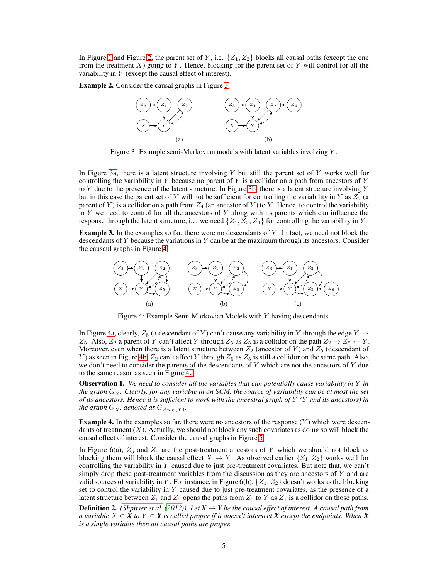In Figure [1](#page-3-0) and Figure [2,](#page-3-0) the parent set of Y, i.e.  $\{Z_1, Z_2\}$  blocks all causal paths (except the one from the treatment  $X$ ) going to  $Y$ . Hence, blocking for the parent set of  $Y$  will control for all the variability in Y (except the causal effect of interest).

<span id="page-4-0"></span>Example 2. Consider the causal graphs in Figure [3.](#page-4-0)



Figure 3: Example semi-Markovian models with latent variables involving Y .

In Figure [3a,](#page-4-0) there is a latent structure involving  $Y$  but still the parent set of  $Y$  works well for controlling the variability in Y because no parent of Y is a collidor on a path from ancestors of Y to Y due to the presence of the latent structure. In Figure [3b,](#page-4-0) there is a latent structure involving  $Y$ but in this case the parent set of Y will not be sufficient for controlling the variability in Y as  $Z_2$  (a parent of Y) is a collidor on a path from  $Z_4$  (an ancestor of Y) to Y. Hence, to control the variability in  $Y$  we need to control for all the ancestors of  $Y$  along with its parents which can influence the response through the latent structure, i.e. we need  $\{Z_1, Z_2, Z_4\}$  for controlling the variability in Y.

<span id="page-4-1"></span>**Example 3.** In the examples so far, there were no descendants of  $Y$ . In fact, we need not block the descendants of  $Y$  because the variations in  $Y$  can be at the maximum through its ancestors. Consider the causaul graphs in Figure [4.](#page-4-1)



Figure 4: Example Semi-Markovian Models with Y having descendants.

In Figure [4a,](#page-4-1) clearly,  $Z_5$  (a descendant of Y) can't cause any variability in Y through the edge  $Y \rightarrow$  $Z_5$ . Also,  $Z_2$  a parent of Y can't affect Y through  $Z_5$  as  $Z_5$  is a collidor on the path  $Z_2 \to Z_5 \leftarrow Y$ . Moreover, even when there is a latent structure between  $Z_2$  (ancestor of Y) and  $Z_5$  (descendant of Y) as seen in Figure [4b,](#page-4-1)  $Z_2$  can't affect Y through  $Z_5$  as  $Z_5$  is still a collidor on the same path. Also, we don't need to consider the parents of the descendants of  $Y$  which are not the ancestors of  $Y$  due to the same reason as seen in Figure [4c.](#page-4-1)

Observation 1. *We need to consider all the variables that can potentially cause variability in* Y *in the graph*  $G_{\bar{X}}$ *. Clearly, for any variable in an SCM, the source of variability can be at most the set of its ancestors. Hence it is sufficient to work with the ancestral graph of* Y *(*Y *and its ancestors) in* the graph  $G_{\bar{X}}$ , denoted as  $G_{An_{\bar{X}}(Y)}.$ 

**Example 4.** In the examples so far, there were no ancestors of the response  $(Y)$  which were descendants of treatment  $(X)$ . Actually, we should not block any such covariates as doing so will block the causal effect of interest. Consider the causal graphs in Figure [5.](#page-5-0)

In Figure 6(a),  $Z_5$  and  $Z_6$  are the post-treatment ancestors of Y which we should not block as blocking them will block the causal effect  $X \to Y$ . As observed earlier  $\{Z_1, Z_2\}$  works well for controlling the variability in  $Y$  caused due to just pre-treatment covariates. But note that, we can't simply drop these post-treatment variables from the discussion as they are ancestors of  $Y$  and are valid sources of variability in Y. For instance, in Figure 6(b),  $\{Z_1, Z_2\}$  doesn't works as the blocking set to control the variability in Y caused due to just pre-treatment covariates, as the presence of a latent structure between  $Z_1$  and  $Z_5$  opens the paths from  $Z_3$  to Y as  $Z_1$  is a collidor on those paths.

**Definition 2.** *[\(Shpitser et al. \(2012\)](#page-7-12)). Let*  $X \to Y$  *be the causal effect of interest. A causal path from a* variable  $X \in \mathbf{X}$  *to*  $Y \in \mathbf{Y}$  *is called proper if it doesn't intersect*  $\mathbf{X}$  *except the endpoints. When*  $\mathbf{X}$ *is a single variable then all causal paths are proper.*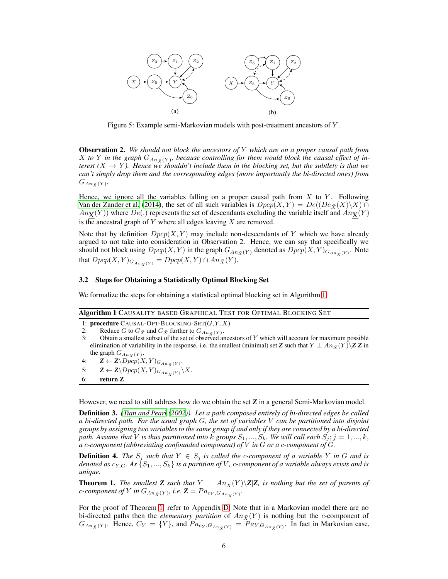<span id="page-5-0"></span>

Figure 5: Example semi-Markovian models with post-treatment ancestors of Y .

<span id="page-5-5"></span>Observation 2. *We should not block the ancestors of* Y *which are on a proper causal path from* X to Y in the graph  $G_{An_{\bar{X}}(Y)}$ , because controlling for them would block the causal effect of in*terest*  $(X \rightarrow Y)$ . Hence we shouldn't include them in the blocking set, but the subtlety is that we *can't simply drop them and the corresponding edges (more importantly the bi-directed ones) from*  $G_{An_{\bar{X}}(Y)}$ .

Hence, we ignore all the variables falling on a proper causal path from  $X$  to  $Y$ . Following [Van der Zander et al. \(2014\)](#page-7-13), the set of all such variables is  $Dpcp(X, Y) = De((De_{\bar{X}}(X)\backslash X) \cap$  $An_{\mathbf{X}}(Y)$ ) where  $De(.)$  represents the set of descendants excluding the variable itself and  $An_{\mathbf{X}}(Y)$ is the ancestral graph of  $Y$  where all edges leaving  $X$  are removed.

Note that by definition  $Dpcp(X, Y)$  may include non-descendants of Y which we have already argued to not take into consideration in Observation 2. Hence, we can say that specifically we should not block using  $Dpcp(X, Y)$  in the graph  $G_{An_{\bar{X}}(Y)}$  denoted as  $Dpcp(X, Y)_{G_{An_{\bar{X}}(Y)}}$ . Note that  $Dpcp(X, Y)_{G_{An_{\bar{X}}(Y)}} = Dpcp(X, Y) \cap An_{\bar{X}}(Y).$ 

## 3.2 Steps for Obtaining a Statistically Optimal Blocking Set

<span id="page-5-1"></span>We formalize the steps for obtaining a statistical optimal blocking set in Algorithm [1.](#page-5-1)

#### Algorithm 1 CAUSALITY BASED GRAPHICAL TEST FOR OPTIMAL BLOCKING SET

1: procedure CAUSAL-OPT-BLOCKING-SET $(G, Y, X)$ 

```
2: Reduce G to G_{\bar{X}} and G_{\bar{X}} further to G_{An_{\bar{X}}(Y)}.
```
- 3: Obtain a smallest subset of the set of observed ancestors of Y which will account for maximum possible elimination of variability in the response, i.e. the smallest (minimal) set *Z* such that  $Y \perp An_{\bar{X}}(Y)\setminus Z|Z$  in the graph  $G_{An_{\bar{X}}(Y)}$ .
- 4:  $\mathbf{Z} \leftarrow \mathbf{Z} \backslash \widehat{Dpcp}(X, Y)_{G_{An_{\bar{X}}(Y)}}$ .
- 5:  $\mathbf{Z} \leftarrow \mathbf{Z} \backslash Dpcp(X, Y)_{G_{An_{\bar{X}}(Y)}} \backslash X.$

6: return Z

However, we need to still address how do we obtain the set *Z* in a general Semi-Markovian model.

<span id="page-5-3"></span>Definition 3. *[\(Tian and Pearl](#page-7-14) [\(2002\)](#page-7-14)). Let a path composed entirely of bi-directed edges be called a bi-directed path. For the usual graph* G*, the set of variables* V *can be partitioned into disjoint groups by assigning two variables to the same group if and only if they are connected by a bi-directed path. Assume that* V *is thus partitioned into* k *groups*  $S_1, ..., S_k$ *. We will call each*  $S_j$ ;  $j = 1, ..., k$ , *a* c*-component (abbreviating confounded component) of* V *in* G *or a* c*-component of* G*.*

<span id="page-5-4"></span>**Definition 4.** The  $S_j$  such that  $Y \in S_j$  is called the *c*-component of a variable Y in G and is *denoted as*  $c_{Y,G}$ *. As*  $\{S_1, ..., S_k\}$  *is a partition of* V, *c-component of a variable always exists and is unique.*

<span id="page-5-2"></span>**Theorem 1.** *The smallest Z such that*  $Y \perp An_{\bar{X}}(Y) \setminus \mathbb{Z}|\mathbb{Z}$ *, is nothing but the set of parents of c*-component of Y in  $G_{An_{\bar{X}}(Y)}$ , i.e.  $\mathbf{Z} = Pa_{c_Y, G_{An_{\bar{X}}(Y)}}$ .

For the proof of Theorem [1,](#page-5-2) refer to Appendix [D.](#page-11-0) Note that in a Markovian model there are no bi-directed paths then the *elementary partition* of  $An_{\bar{X}}(Y)$  is nothing but the *c*-component of  $G_{An_{\bar{X}}(Y)}$ . Hence,  $C_Y = \{Y\}$ , and  $Pa_{c_Y,G_{An_{\bar{X}}(Y)}} = Pa_{Y,G_{An_{\bar{X}}(Y)}}$ . In fact in Markovian case,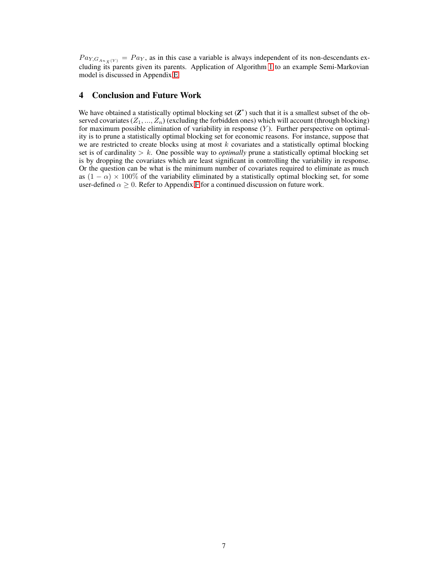$Pa_{Y,G_{An_{\bar{X}}(Y)}} = Pa_Y$ , as in this case a variable is always independent of its non-descendants excluding its parents given its parents. Application of Algorithm [1](#page-5-1) to an example Semi-Markovian model is discussed in Appendix [E.](#page-11-1)

# 4 Conclusion and Future Work

We have obtained a statistically optimal blocking set  $(Z^*)$  such that it is a smallest subset of the observed covariates  $(Z_1, ..., Z_n)$  (excluding the forbidden ones) which will account (through blocking) for maximum possible elimination of variability in response  $(Y)$ . Further perspective on optimality is to prune a statistically optimal blocking set for economic reasons. For instance, suppose that we are restricted to create blocks using at most  $k$  covariates and a statistically optimal blocking set is of cardinality  $> k$ . One possible way to *optimally* prune a statistically optimal blocking set is by dropping the covariates which are least significant in controlling the variability in response. Or the question can be what is the minimum number of covariates required to eliminate as much as  $(1 - \alpha) \times 100\%$  of the variability eliminated by a statistically optimal blocking set, for some user-defined  $\alpha \geq 0$ . Refer to Appendix [F](#page-11-2) for a continued discussion on future work.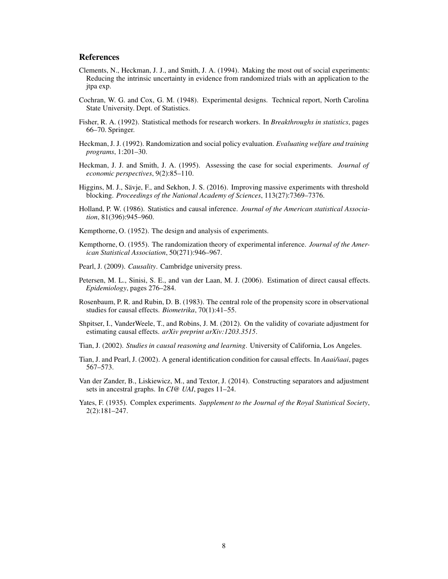# **References**

- <span id="page-7-9"></span>Clements, N., Heckman, J. J., and Smith, J. A. (1994). Making the most out of social experiments: Reducing the intrinsic uncertainty in evidence from randomized trials with an application to the jtpa exp.
- <span id="page-7-4"></span>Cochran, W. G. and Cox, G. M. (1948). Experimental designs. Technical report, North Carolina State University. Dept. of Statistics.
- <span id="page-7-0"></span>Fisher, R. A. (1992). Statistical methods for research workers. In *Breakthroughs in statistics*, pages 66–70. Springer.
- <span id="page-7-8"></span>Heckman, J. J. (1992). Randomization and social policy evaluation. *Evaluating welfare and training programs*, 1:201–30.
- <span id="page-7-10"></span>Heckman, J. J. and Smith, J. A. (1995). Assessing the case for social experiments. *Journal of economic perspectives*, 9(2):85–110.
- <span id="page-7-5"></span>Higgins, M. J., Sävje, F., and Sekhon, J. S. (2016). Improving massive experiments with threshold blocking. *Proceedings of the National Academy of Sciences*, 113(27):7369–7376.
- <span id="page-7-7"></span>Holland, P. W. (1986). Statistics and causal inference. *Journal of the American statistical Association*, 81(396):945–960.
- <span id="page-7-2"></span>Kempthorne, O. (1952). The design and analysis of experiments.
- <span id="page-7-3"></span>Kempthorne, O. (1955). The randomization theory of experimental inference. *Journal of the American Statistical Association*, 50(271):946–967.
- <span id="page-7-15"></span>Pearl, J. (2009). *Causality*. Cambridge university press.
- <span id="page-7-11"></span>Petersen, M. L., Sinisi, S. E., and van der Laan, M. J. (2006). Estimation of direct causal effects. *Epidemiology*, pages 276–284.
- <span id="page-7-6"></span>Rosenbaum, P. R. and Rubin, D. B. (1983). The central role of the propensity score in observational studies for causal effects. *Biometrika*, 70(1):41–55.
- <span id="page-7-12"></span>Shpitser, I., VanderWeele, T., and Robins, J. M. (2012). On the validity of covariate adjustment for estimating causal effects. *arXiv preprint arXiv:1203.3515*.
- <span id="page-7-16"></span>Tian, J. (2002). *Studies in causal reasoning and learning*. University of California, Los Angeles.
- <span id="page-7-14"></span>Tian, J. and Pearl, J. (2002). A general identification condition for causal effects. In *Aaai/iaai*, pages 567–573.
- <span id="page-7-13"></span>Van der Zander, B., Liskiewicz, M., and Textor, J. (2014). Constructing separators and adjustment sets in ancestral graphs. In *CI@ UAI*, pages 11–24.
- <span id="page-7-1"></span>Yates, F. (1935). Complex experiments. *Supplement to the Journal of the Royal Statistical Society*, 2(2):181–247.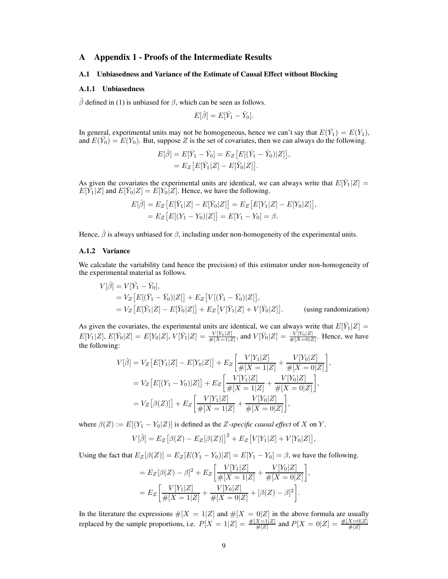# A Appendix 1 - Proofs of the Intermediate Results

### A.1 Unbiasedness and Variance of the Estimate of Causal Effect without Blocking

## A.1.1 Unbiasedness

 $\hat{\beta}$  defined in (1) is unbiased for  $\beta$ , which can be seen as follows.

$$
E[\hat{\beta}] = E[\bar{Y}_1 - \bar{Y}_0].
$$

In general, experimental units may not be homogeneous, hence we can't say that  $E(\bar{Y}_1) = E(Y_1)$ , and  $E(\bar{Y}_0) = E(Y_0)$ . But, suppose Z is the set of covariates, then we can always do the following.

$$
E[\hat{\beta}] = E[\bar{Y}_1 - \bar{Y}_0] = E_Z [E[(\bar{Y}_1 - \bar{Y}_0)|Z]],
$$
  
=  $E_Z [E[\bar{Y}_1|Z] - E[\bar{Y}_0|Z]].$ 

As given the covariates the experimental units are identical, we can always write that  $E[\bar{Y}_1|Z] =$  $E[Y_1|Z]$  and  $E[Y_0|Z] = E[Y_0|Z]$ . Hence, we have the following.

$$
E[\hat{\beta}] = E_Z [E[\bar{Y}_1|Z] - E[\bar{Y}_0|Z]] = E_Z [E[Y_1|Z] - E[Y_0|Z]],
$$
  
= 
$$
E_Z [E[(Y_1 - Y_0)|Z]] = E[Y_1 - Y_0] = \beta.
$$

Hence,  $\hat{\beta}$  is always unbiased for  $\beta$ , including under non-homogeneity of the experimental units.

#### A.1.2 Variance

We calculate the variability (and hence the precision) of this estimator under non-homogeneity of the experimental material as follows.

$$
V[\hat{\beta}] = V[\bar{Y}_1 - \bar{Y}_0],
$$
  
= 
$$
V_Z \left[ E[(\bar{Y}_1 - \bar{Y}_0)|Z] \right] + E_Z \left[ V[(\bar{Y}_1 - \bar{Y}_0)|Z] \right],
$$
  
= 
$$
V_Z \left[ E[\bar{Y}_1|Z] - E[\bar{Y}_0|Z] \right] + E_Z \left[ V[\bar{Y}_1|Z] + V[\bar{Y}_0|Z] \right].
$$
 (using randomization)

As given the covariates, the experimental units are identical, we can always write that  $E[\bar{Y}_1|Z] =$  $E[Y_1|Z], E[\bar{Y}_0|Z] = E[Y_0|Z], V[\bar{Y}_1|Z] = \frac{V[Y_1|Z]}{\#[X=1|Z]},$  and  $V[\bar{Y}_0|Z] = \frac{V[Y_0|Z]}{\#[X=0|Z]}.$  Hence, we have the following:

$$
V[\hat{\beta}] = V_Z \left[ E[Y_1|Z] - E[Y_0|Z] \right] + E_Z \left[ \frac{V[Y_1|Z]}{\#[X=1|Z]} + \frac{V[Y_0|Z]}{\#[X=0|Z]} \right],
$$
  
= 
$$
V_Z \left[ E[(Y_1 - Y_0)|Z] \right] + E_Z \left[ \frac{V[Y_1|Z]}{\#[X=1|Z]} + \frac{V[Y_0|Z]}{\#[X=0|Z]} \right],
$$
  
= 
$$
V_Z [\beta(Z)] + E_Z \left[ \frac{V[Y_1|Z]}{\#[X=1|Z]} + \frac{V[Y_0|Z]}{\#[X=0|Z]} \right],
$$

where  $\beta(Z) := E[(Y_1 - Y_0|Z)]$  is defined as the *Z*-specific causal effect of *X* on *Y*.

$$
V[\hat{\beta}] = E_Z [\beta(Z) - E_Z[\beta(Z)]]^2 + E_Z [V[Y_1|Z] + V[Y_0|Z]],
$$

Using the fact that  $E_Z[\beta(Z)] = E_Z[E(Y_1 - Y_0)|Z] = E[Y_1 - Y_0] = \beta$ , we have the following.

$$
= E_Z[\beta(Z) - \beta]^2 + E_Z\left[\frac{V[Y_1|Z]}{\#[X = 1|Z]} + \frac{V[Y_0|Z]}{\#[X = 0|Z]}\right],
$$
  
= 
$$
E_Z\left[\frac{V[Y_1|Z]}{\#[X = 1|Z]} + \frac{V[Y_0|Z]}{\#[X = 0|Z]} + [\beta(Z) - \beta]^2\right].
$$

In the literature the expressions  $\#[X = 1|Z]$  and  $\#[X = 0|Z]$  in the above formula are usually replaced by the sample proportions, i.e.  $P[X = 1|Z] = \frac{\#[X=1|Z]}{\#[Z]}$  and  $P[X = 0|Z] = \frac{\#[X=0|Z]}{\#[Z]}$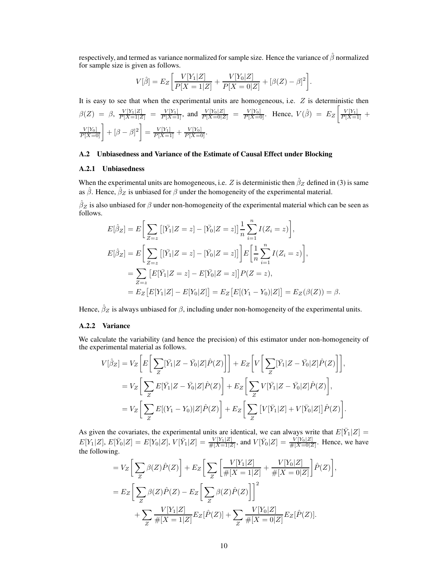respectively, and termed as variance normalized for sample size. Hence the variance of  $\hat{\beta}$  normalized for sample size is given as follows.

$$
V[\hat{\beta}] = E_Z \bigg[ \frac{V[Y_1|Z]}{P[X=1|Z]} + \frac{V[Y_0|Z]}{P[X=0|Z]} + [\beta(Z) - \beta]^2 \bigg].
$$

It is easy to see that when the experimental units are homogeneous, i.e.  $Z$  is deterministic then  $\beta(Z) = \beta$ ,  $\frac{V[Y_1|Z]}{P[X=1|Z]} = \frac{V[Y_1]}{P[X=1]}$ , and  $\frac{V[Y_0|Z]}{P[X=0|Z]} = \frac{V[Y_0]}{P[X=0]}$ . Hence,  $V(\hat{\beta}) = E_Z \left[ \frac{V[Y_1]}{P[X=1]} + \frac{V[Y_2]}{P[X=1]} \right]$  $\left[\frac{V[Y_0]}{P[X=0]} \right] + [\beta - \beta]^2$  =  $\frac{V[Y_1]}{P[X=1]} + \frac{V[Y_0]}{P[X=0]}$ .

## A.2 Unbiasedness and Variance of the Estimate of Causal Effect under Blocking

## A.2.1 Unbiasedness

When the experimental units are homogeneous, i.e. Z is deterministic then  $\hat{\beta}_Z$  defined in (3) is same as  $\hat{\beta}$ . Hence,  $\hat{\beta}_Z$  is unbiased for  $\beta$  under the homogeneity of the experimental material.

 $\hat\beta_Z$  is also unbiased for  $\beta$  under non-homogeneity of the experimental material which can be seen as follows.

$$
E[\hat{\beta}_Z] = E\bigg[\sum_{Z=z} [[\bar{Y}_1 | Z = z] - [\bar{Y}_0 | Z = z]] \frac{1}{n} \sum_{i=1}^n I(Z_i = z)\bigg],
$$
  
\n
$$
E[\hat{\beta}_Z] = E\bigg[\sum_{Z=z} [[\bar{Y}_1 | Z = z] - [\bar{Y}_0 | Z = z]]\bigg] E\bigg[\frac{1}{n} \sum_{i=1}^n I(Z_i = z)\bigg],
$$
  
\n
$$
= \sum_{Z=z} [E[\bar{Y}_1 | Z = z] - E[\bar{Y}_0 | Z = z]] P(Z = z),
$$
  
\n
$$
= E_Z [E[Y_1 | Z] - E[Y_0 | Z]] = E_Z [E[(Y_1 - Y_0) | Z]] = E_Z(\beta(Z)) = \beta.
$$

Hence,  $\hat{\beta}_Z$  is always unbiased for  $\beta$ , including under non-homogeneity of the experimental units.

## A.2.2 Variance

We calculate the variability (and hence the precision) of this estimator under non-homogeneity of the experimental material as follows.

$$
V[\hat{\beta}_Z] = V_Z \bigg[ E \bigg[ \sum_Z [\bar{Y}_1 | Z - \bar{Y}_0 | Z] \hat{P}(Z) \bigg] \bigg] + E_Z \bigg[ V \bigg[ \sum_Z [\bar{Y}_1 | Z - \bar{Y}_0 | Z] \hat{P}(Z) \bigg] \bigg],
$$
  
\n
$$
= V_Z \bigg[ \sum_Z E[\bar{Y}_1 | Z - \bar{Y}_0 | Z] \hat{P}(Z) \bigg] + E_Z \bigg[ \sum_Z V[\bar{Y}_1 | Z - \bar{Y}_0 | Z] \hat{P}(Z) \bigg],
$$
  
\n
$$
= V_Z \bigg[ \sum_Z E[(Y_1 - Y_0) | Z] \hat{P}(Z) \bigg] + E_Z \bigg[ \sum_Z \big[ V[\bar{Y}_1 | Z] + V[\bar{Y}_0 | Z] \big] \hat{P}(Z) \bigg].
$$

As given the covariates, the experimental units are identical, we can always write that  $E[\bar{Y}_1|Z] =$  $E[Y_1|Z], E[\bar{Y}_0|Z] = E[Y_0|Z], V[\bar{Y}_1|Z] = \frac{V[Y_1|Z]}{\#[X=1|Z]},$  and  $V[\bar{Y}_0|Z] = \frac{V[Y_0|Z]}{\#[X=0|Z]}.$  Hence, we have the following.

,

$$
= V_Z \left[ \sum_Z \beta(Z) \hat{P}(Z) \right] + E_Z \left[ \sum_Z \left[ \frac{V[Y_1|Z]}{\#[X=1|Z]} + \frac{V[Y_0|Z]}{\#[X=0|Z]} \right] \hat{P}(Z) \right]
$$
  
= 
$$
E_Z \left[ \sum_Z \beta(Z) \hat{P}(Z) - E_Z \left[ \sum_Z \beta(Z) \hat{P}(Z) \right] \right]^2
$$
  
+ 
$$
\sum_Z \frac{V[Y_1|Z]}{\#[X=1|Z]} E_Z[\hat{P}(Z)] + \sum_Z \frac{V[Y_0|Z]}{\#[X=0|Z]} E_Z[\hat{P}(Z)].
$$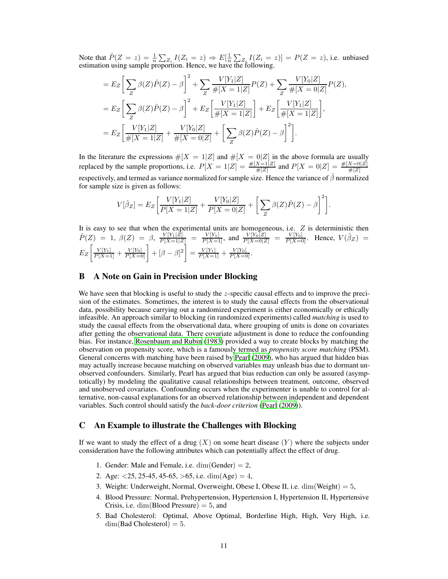Note that  $\hat{P}(Z = z) = \frac{1}{n} \sum_{Z_i} I(Z_i = z) \Rightarrow E[\frac{1}{n} \sum_{Z_i} I(Z_i = z)] = P(Z = z)$ , i.e. unbiased estimation using sample proportion. Hence, we have the following.

$$
= E_Z \left[ \sum_Z \beta(Z) \hat{P}(Z) - \beta \right]^2 + \sum_Z \frac{V[Y_1|Z]}{\#[X=1|Z]} P(Z) + \sum_Z \frac{V[Y_0|Z]}{\#[X=0|Z]} P(Z),
$$
  
\n
$$
= E_Z \left[ \sum_Z \beta(Z) \hat{P}(Z) - \beta \right]^2 + E_Z \left[ \frac{V[Y_1|Z]}{\#[X=1|Z]} \right] + E_Z \left[ \frac{V[Y_1|Z]}{\#[X=1|Z]} \right],
$$
  
\n
$$
= E_Z \left[ \frac{V[Y_1|Z]}{\#[X=1|Z]} + \frac{V[Y_0|Z]}{\#[X=0|Z]} + \left[ \sum_Z \beta(Z) \hat{P}(Z) - \beta \right]^2 \right].
$$

In the literature the expressions  $\#[X = 1|Z]$  and  $\#[X = 0|Z]$  in the above formula are usually replaced by the sample proportions, i.e.  $P[X = 1|Z] = \frac{\#[X=1|Z]}{\#[Z]}$  and  $P[X = 0|Z] = \frac{\#[X=0|Z]}{\#[Z]}$ respectively, and termed as variance normalized for sample size. Hence the variance of  $\hat{\beta}$  normalized for sample size is given as follows:

$$
V[\hat{\beta}_Z] = E_Z \left[ \frac{V[Y_1|Z]}{P[X=1|Z]} + \frac{V[Y_0|Z]}{P[X=0|Z]} + \left[ \sum_Z \beta(Z)\hat{P}(Z) - \beta \right]^2 \right].
$$

It is easy to see that when the experimental units are homogeneous, i.e.  $Z$  is deterministic then  $\hat{P}(Z) = 1, \beta(Z) = \beta, \frac{V[Y_1|Z]}{P[X=1|Z]} = \frac{V[Y_1]}{P[X=1]},$  and  $\frac{V[Y_0|Z]}{P[X=0|Z]} = \frac{V[Y_0]}{P[X=0]}$ . Hence,  $V(\hat{\beta}_Z) =$  $E_Z \left[ \frac{V[Y_1]}{P[X=1]} + \frac{V[Y_0]}{P[X=0]} \right] + [\beta - \beta]^2 \right] = \frac{V[Y_1]}{P[X=1]} + \frac{V[Y_0]}{P[X=0]}$ 

## <span id="page-10-0"></span>B A Note on Gain in Precision under Blocking

We have seen that blocking is useful to study the  $z$ -specific causal effects and to improve the precision of the estimates. Sometimes, the interest is to study the causal effects from the observational data, possibility because carrying out a randomized experiment is either economically or ethically infeasible. An approach similar to blocking (in randomized experiments) called *matching* is used to study the causal effects from the observational data, where grouping of units is done on covariates after getting the observational data. There covariate adjustment is done to reduce the confounding bias. For instance, [Rosenbaum and Rubin \(1983](#page-7-6)) provided a way to create blocks by matching the observation on propensity score, which is a famously termed as *propensity score matching* (PSM). General concerns with matching have been raised by [Pearl](#page-7-15) [\(2009\)](#page-7-15), who has argued that hidden bias may actually increase because matching on observed variables may unleash bias due to dormant unobserved confounders. Similarly, Pearl has argued that bias reduction can only be assured (asymptotically) by modeling the qualitative causal relationships between treatment, outcome, observed and unobserved covariates. Confounding occurs when the experimenter is unable to control for alternative, non-causal explanations for an observed relationship between independent and dependent variables. Such control should satisfy the *back-door criterion* [\(Pearl](#page-7-15) [\(2009\)](#page-7-15)).

## <span id="page-10-1"></span>C An Example to illustrate the Challenges with Blocking

If we want to study the effect of a drug  $(X)$  on some heart disease  $(Y)$  where the subjects under consideration have the following attributes which can potentially affect the effect of drug.

- 1. Gender: Male and Female, i.e.  $\dim(\text{Gender}) = 2$ ,
- 2. Age:  $\langle 25, 25, 45, 45, 65, \rangle$  = 65, i.e. dim(Age) = 4,
- 3. Weight: Underweight, Normal, Overweight, Obese I, Obese II, i.e.  $\dim(\text{Weight}) = 5$ ,
- 4. Blood Pressure: Normal, Prehypertension, Hypertension I, Hypertension II, Hypertensive Crisis, i.e.  $\dim(B$ lood Pressure) = 5, and
- 5. Bad Cholesterol: Optimal, Above Optimal, Borderline High, High, Very High, i.e.  $dim(Bad Cholesterol) = 5.$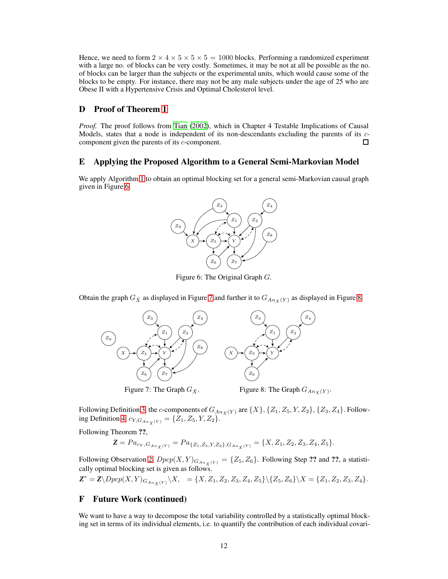Hence, we need to form  $2 \times 4 \times 5 \times 5 \times 5 = 1000$  blocks. Performing a randomized experiment with a large no. of blocks can be very costly. Sometimes, it may be not at all be possible as the no. of blocks can be larger than the subjects or the experimental units, which would cause some of the blocks to be empty. For instance, there may not be any male subjects under the age of 25 who are Obese II with a Hypertensive Crisis and Optimal Cholesterol level.

# <span id="page-11-0"></span>D Proof of Theorem [1](#page-5-2)

*Proof.* The proof follows from [Tian](#page-7-16) [\(2002\)](#page-7-16), which in Chapter 4 Testable Implications of Causal Models, states that a node is independent of its non-descendants excluding the parents of its ccomponent given the parents of its c-component. □

## <span id="page-11-1"></span>E Applying the Proposed Algorithm to a General Semi-Markovian Model

<span id="page-11-3"></span>We apply Algorithm [1](#page-5-1) to obtain an optimal blocking set for a general semi-Markovian causal graph given in Figure [6.](#page-11-3)



Figure 6: The Original Graph G.

<span id="page-11-4"></span>Obtain the graph  $G_{\bar{X}}$  as displayed in Figure [7](#page-11-4) and further it to  $G_{A_n\bar{X}}(Y)$  as displayed in Figure [8.](#page-11-4)





Following Definition [3,](#page-5-3) the c-components of  $G_{An_{\bar{X}}(Y)}$  are  $\{X\}, \{Z_1, Z_5, Y, Z_2\}, \{Z_3, Z_4\}$ . Follow-ing Definition [4,](#page-5-4)  $c_{Y,G_{An_{\bar{Y}}}(Y)} = \{Z_1, Z_5, Y, Z_2\}.$ 

Following Theorem ??,

 $\mathbf{Z} = Pa_{c_Y,G_{An_{\bar{X}}(Y)}} = Pa_{\{Z_1,Z_5,Y,Z_2\},G_{An_{\bar{X}}(Y)}} = \{X,Z_1,Z_2,Z_3,Z_4,Z_5\}.$ 

Following Observation [2,](#page-5-5)  $Dpcp(X, Y)_{G_{An_{\tilde{X}}(Y)}} = \{Z_5, Z_6\}$ . Following Step ?? and ??, a statistically optimal blocking set is given as follows.

 $\mathbf{Z}^* = \mathbf{Z} \setminus Dpcp(X, Y)_{G_{An_{\bar{X}}(Y)}} \setminus X, = \{X, Z_1, Z_2, Z_3, Z_4, Z_5\} \setminus \{Z_5, Z_6\} \setminus X = \{Z_1, Z_2, Z_3, Z_4\}.$ 

# <span id="page-11-2"></span>F Future Work (continued)

We want to have a way to decompose the total variability controlled by a statistically optimal blocking set in terms of its individual elements, i.e. to quantify the contribution of each individual covari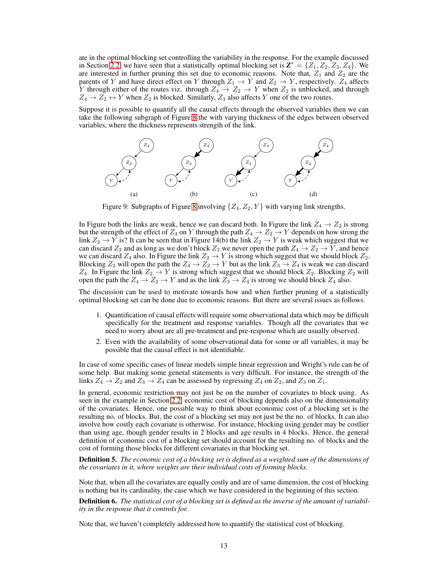ate in the optimal blocking set controlling the variability in the response. For the example discussed in Section [2.2,](#page-2-0) we have seen that a statistically optimal blocking set is  $\mathbf{Z}^* = \{Z_1, Z_2, Z_3, Z_4\}$ . We are interested in further pruning this set due to economic reasons. Note that,  $Z_1$  and  $Z_2$  are the parents of Y and have direct effect on Y through  $Z_1 \rightarrow Y$  and  $Z_2 \rightarrow Y$ , respectively.  $Z_4$  affects Y through either of the routes viz. through  $Z_4 \rightarrow Z_2 \rightarrow Y$  when  $Z_2$  is unblocked, and through  $Z_4 \rightarrow Z_2 \leftrightarrow Y$  when  $Z_2$  is blocked. Similarly,  $Z_3$  also affects Y one of the two routes.

Suppose it is possible to quantify all the causal effects through the observed variables then we can take the following subgraph of Figure [8](#page-11-4) the with varying thickness of the edges between observed variables, where the thickness represents strength of the link.



Figure 9: Subgraphs of Figure [8](#page-11-4) involving  $\{Z_4, Z_2, Y\}$  with varying link strengths.

In Figure both the links are weak, hence we can discard both. In Figure the link  $Z_4 \rightarrow Z_2$  is strong but the strength of the effect of  $Z_4$  on  $Y$  through the path  $Z_4 \to Z_2 \to Y$  depends on how strong the link  $Z_2 \to Y$  is? It can be seen that in Figure 14(b) the link  $Z_2 \to Y$  is weak which suggest that we can discard  $Z_2$  and as long as we don't block  $Z_2$  we never open the path  $Z_4 \rightarrow Z_2 \rightarrow Y$ , and hence we can discard  $Z_4$  also. In Figure the link  $Z_2 \rightarrow Y$  is strong which suggest that we should block  $Z_2$ . Blocking  $Z_2$  will open the path the  $Z_4 \to Z_2 \to Y$  but as the link  $Z_3 \to Z_4$  is weak we can discard  $Z_4$ . In Figure the link  $Z_2 \rightarrow Y$  is strong which suggest that we should block  $Z_2$ . Blocking  $Z_2$  will open the path the  $Z_4 \rightarrow Z_2 \rightarrow Y$  and as the link  $Z_3 \rightarrow Z_4$  is strong we should block  $Z_4$  also.

The discussion can be used to motivate towards how and when further pruning of a statistically optimal blocking set can be done due to economic reasons. But there are several issues as follows.

- 1. Quantification of causal effects will require some observational data which may be difficult specifically for the treatment and response variables. Though all the covariates that we need to worry about are all pre-treatment and pre-response which are usually observed.
- 2. Even with the availability of some observational data for some or all variables, it may be possible that the causal effect is not identifiable.

In case of some specific cases of linear models simple linear regression and Wright's rule can be of some help. But making some general statements is very difficult. For instance, the strength of the links  $Z_4 \rightarrow Z_2$  and  $Z_3 \rightarrow Z_4$  can be assessed by regressing  $Z_4$  on  $Z_2$ , and  $Z_3$  on  $Z_1$ .

In general, economic restriction may not just be on the number of covariates to block using. As seen in the example in Section [2.2,](#page-2-0) economic cost of blocking depends also on the dimensionality of the covariates. Hence, one possible way to think about economic cost of a blocking set is the resulting no. of blocks. But, the cost of a blocking set may not just be the no. of blocks. It can also involve how costly each covariate is otherwise. For instance, blocking using gender may be costlier than using age, though gender results in 2 blocks and age results in 4 blocks. Hence, the general definition of economic cost of a blocking set should account for the resulting no. of blocks and the cost of forming those blocks for different covariates in that blocking set.

Definition 5. *The economic cost of a blocking set is defined as a weighted sum of the dimensions of the covariates in it, where weights are their individual costs of forming blocks.*

Note that, when all the covariates are equally costly and are of same dimension, the cost of blocking is nothing but its cardinality, the case which we have considered in the beginning of this section.

Definition 6. *The statistical cost of a blocking set is defined as the inverse of the amount of variability in the response that it controls for.*

Note that, we haven't completely addressed how to quantify the statistical cost of blocking.